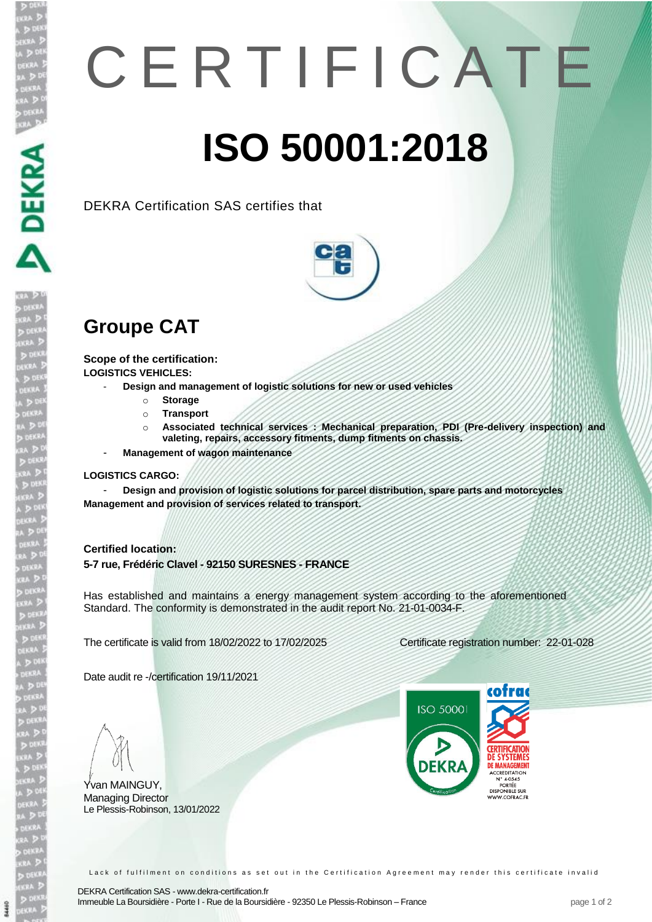## C E R T I F I C A T E **ISO 50001:2018**

DEKRA Certification SAS certifies that



## **Groupe CAT**

**Scope of the certification: LOGISTICS VEHICLES:** 

- **Design and management of logistic solutions for new or used vehicles**

- o **Storage**
- o **Transport**
- o **Associated technical services : Mechanical preparation, PDI (Pre-delivery inspection) and valeting, repairs, accessory fitments, dump fitments on chassis.**
- **Management of wagon maintenance**

## **LOGISTICS CARGO:**

- **Design and provision of logistic solutions for parcel distribution, spare parts and motorcycles Management and provision of services related to transport.**

## **Certified location:**

**5-7 rue, Frédéric Clavel - 92150 SURESNES - FRANCE**

Has established and maintains a energy management system according to the aforementioned Standard. The conformity is demonstrated in the audit report No. 21-01-0034-F.

The certificate is valid from 18/02/2022 to 17/02/2025 Certificate registration number: 22-01-028

Date audit re -/certification 19/11/2021

Yvan MAINGUY, Managing Director Le Plessis-Robinson, 13/01/2022



Lack of fulfilment on conditions as set out in the Certification Agreement may render this certificate invalid